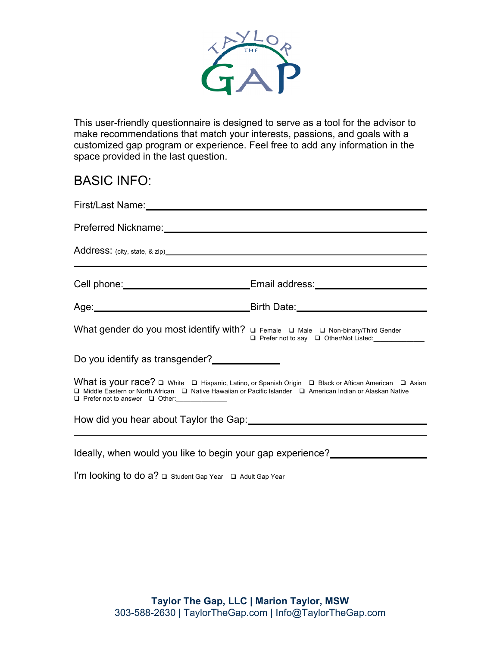

This user-friendly questionnaire is designed to serve as a tool for the advisor to make recommendations that match your interests, passions, and goals with a customized gap program or experience. Feel free to add any information in the space provided in the last question.

### BASIC INFO:

| Preferred Nickname: Management of the Contract of the Contract of the Contract of the Contract of the Contract of the Contract of the Contract of the Contract of the Contract of the Contract of the Contract of the Contract                                       |                                                                                                                                                                                                                                |  |  |  |
|----------------------------------------------------------------------------------------------------------------------------------------------------------------------------------------------------------------------------------------------------------------------|--------------------------------------------------------------------------------------------------------------------------------------------------------------------------------------------------------------------------------|--|--|--|
|                                                                                                                                                                                                                                                                      |                                                                                                                                                                                                                                |  |  |  |
|                                                                                                                                                                                                                                                                      | Cell phone: Cell phone: Cell phone: Cell phone: Cell phone: Cell phone: Cell phone: Cell phone: Cell phone: Cell phone: Cell and Cell and Cell and Cell and Cell and Cell and Cell and Cell and Cell and Cell and Cell and Cel |  |  |  |
|                                                                                                                                                                                                                                                                      | Age: <u>Age:</u> Birth Date: <b>Age:</b> Birth Date:                                                                                                                                                                           |  |  |  |
| What gender do you most identify with? <b>Q</b> Female Q Male Q Non-binary/Third Gender                                                                                                                                                                              | □ Prefer not to say □ Other/Not Listed:                                                                                                                                                                                        |  |  |  |
| Do you identify as transgender?                                                                                                                                                                                                                                      |                                                                                                                                                                                                                                |  |  |  |
| What is your race? Q White Q Hispanic, Latino, or Spanish Origin Q Black or Aftican American Q Asian<br>□ Middle Eastern or North African □ Native Hawaiian or Pacific Islander □ American Indian or Alaskan Native<br>□ Prefer not to answer □ Other: _____________ |                                                                                                                                                                                                                                |  |  |  |
| How did you hear about Taylor the Gap: 1997-1997 March 1997-1998                                                                                                                                                                                                     |                                                                                                                                                                                                                                |  |  |  |
|                                                                                                                                                                                                                                                                      |                                                                                                                                                                                                                                |  |  |  |

Ideally, when would you like to begin your gap experience?

I'm looking to do a? □ Student Gap Year □ Adult Gap Year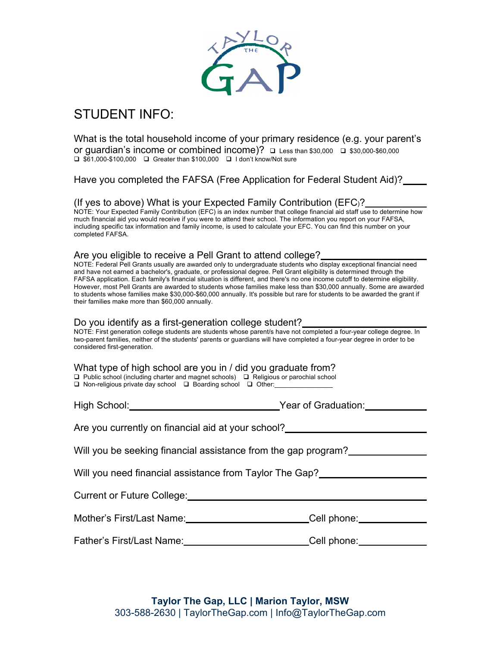

## STUDENT INFO:

What is the total household income of your primary residence (e.g. your parent's or guardian's income or combined income)?  $\Box$  Less than \$30,000  $\Box$  \$30,000-\$60,000  $\Box$  \$61,000-\$100,000  $\Box$  Greater than \$100,000  $\Box$  I don't know/Not sure

Have you completed the FAFSA (Free Application for Federal Student Aid)?

(If yes to above) What is your Expected Family Contribution (EFC)? NOTE: Your Expected Family Contribution (EFC) is an index number that college financial aid staff use to determine how much financial aid you would receive if you were to attend their school. The information you report on your FAFSA, including specific tax information and family income, is used to calculate your EFC. You can find this number on your completed FAFSA.

#### Are you eligible to receive a Pell Grant to attend college?

NOTE: Federal Pell Grants usually are awarded only to undergraduate students who display exceptional financial need and have not earned a bachelor's, graduate, or professional degree. Pell Grant eligibility is determined through the FAFSA application. Each family's financial situation is different, and there's no one income cutoff to determine eligibility. However, most Pell Grants are awarded to students whose families make less than \$30,000 annually. Some are awarded to students whose families make \$30,000-\$60,000 annually. It's possible but rare for students to be awarded the grant if their families make more than \$60,000 annually.

#### Do you identify as a first-generation college student?

NOTE: First generation college students are students whose parent/s have not completed a four-year college degree. In two-parent families, neither of the students' parents or guardians will have completed a four-year degree in order to be considered first-generation.

| What type of high school are you in / did you graduate from?                                     |  |  |
|--------------------------------------------------------------------------------------------------|--|--|
| $\Box$ Dublic cohool (including charter and meanet schoole) $\Box$ Deligious or personial school |  |  |

 $\square$  Public school (including charter and magnet schools)  $\square$  Religious or parochial school  $\Box$  Non-religious private day school  $\Box$  Boarding school  $\Box$  Other:

| High School: | Year of Graduation: |
|--------------|---------------------|

Are you currently on financial aid at your school? Let us are also as a research on the your school.

Will you be seeking financial assistance from the gap program?

Will you need financial assistance from Taylor The Gap?

Current or Future College:

| Mother's First/Last Name: | Cell phone: |
|---------------------------|-------------|
|                           |             |

Father's First/Last Name: Cell phone: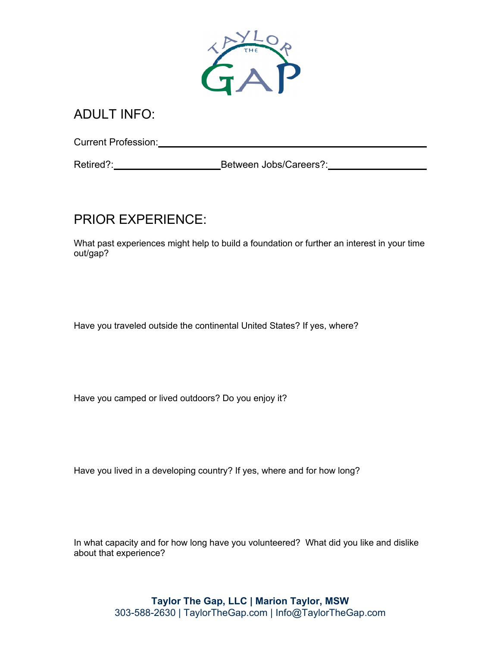

### ADULT INFO:

Current Profession: Management Profession:

Retired?: Between Jobs/Careers?:

# PRIOR EXPERIENCE:

What past experiences might help to build a foundation or further an interest in your time out/gap?

Have you traveled outside the continental United States? If yes, where?

Have you camped or lived outdoors? Do you enjoy it?

Have you lived in a developing country? If yes, where and for how long?

In what capacity and for how long have you volunteered? What did you like and dislike about that experience?

> **Taylor The Gap, LLC | Marion Taylor, MSW** 303-588-2630 | TaylorTheGap.com | Info@TaylorTheGap.com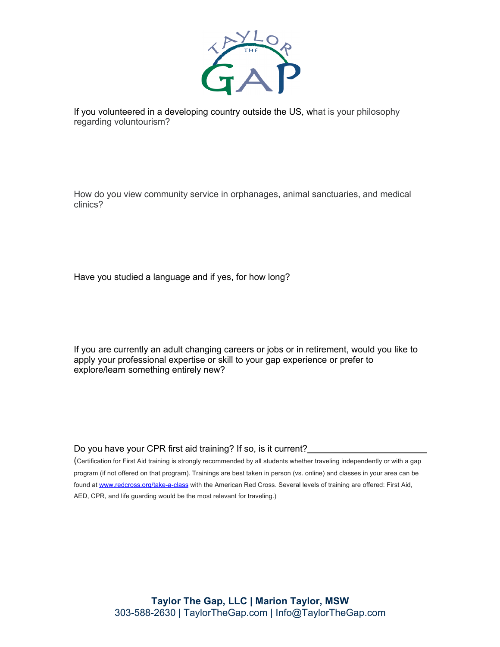

If you volunteered in a developing country outside the US, what is your philosophy regarding voluntourism?

How do you view community service in orphanages, animal sanctuaries, and medical clinics?

Have you studied a language and if yes, for how long?

If you are currently an adult changing careers or jobs or in retirement, would you like to apply your professional expertise or skill to your gap experience or prefer to explore/learn something entirely new?

Do you have your CPR first aid training? If so, is it current?

(Certification for First Aid training is strongly recommended by all students whether traveling independently or with a gap program (if not offered on that program). Trainings are best taken in person (vs. online) and classes in your area can be found at www.redcross.org/take-a-class with the American Red Cross. Several levels of training are offered: First Aid, AED, CPR, and life guarding would be the most relevant for traveling.)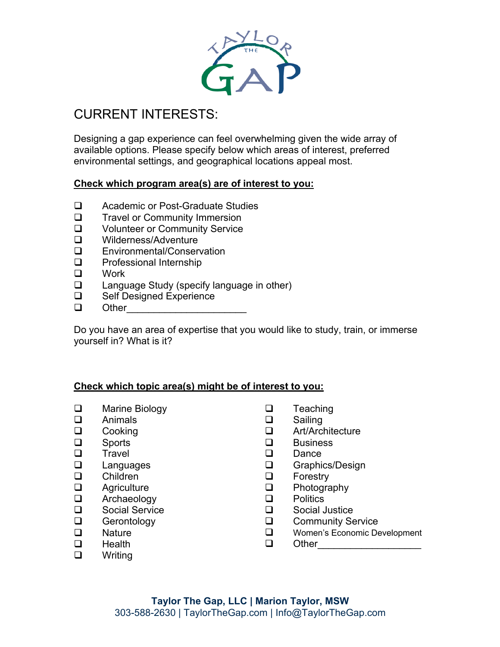

## CURRENT INTERESTS:

Designing a gap experience can feel overwhelming given the wide array of available options. Please specify below which areas of interest, preferred environmental settings, and geographical locations appeal most.

#### **Check which program area(s) are of interest to you:**

- □ Academic or Post-Graduate Studies
- **Q** Travel or Community Immersion
- **Q** Volunteer or Community Service
- □ Wilderness/Adventure
- **Q** Environmental/Conservation
- $\Box$  Professional Internship
- $\Box$  Work
- $\Box$  Language Study (specify language in other)
- □ Self Designed Experience
- $\Box$  Other

Do you have an area of expertise that you would like to study, train, or immerse yourself in? What is it?

#### **Check which topic area(s) might be of interest to you:**

- **Q** Marine Biology
- $\Box$  Animals
- $\Box$  Cooking
- $\Box$  Sports
- **Q** Travel
- $\Box$  Languages
- **Q** Children
- $\Box$  Agriculture
- $\Box$  Archaeology
- **Q** Social Service
- $\Box$  Gerontology
- $\square$  Nature
- **Q** Health
- **q** Writing
- $\Box$  Teaching
- $\square$  Sailing
- **Q** Art/Architecture
- $\Box$  Business
- **Q** Dance
- **Q** Graphics/Design
- $\Box$  Forestry
- $\Box$  Photography
- $\Box$  Politics
- $\Box$  Social Justice
- **Q** Community Service
- **Q** Women's Economic Development
- q Other\_\_\_\_\_\_\_\_\_\_\_\_\_\_\_\_\_\_\_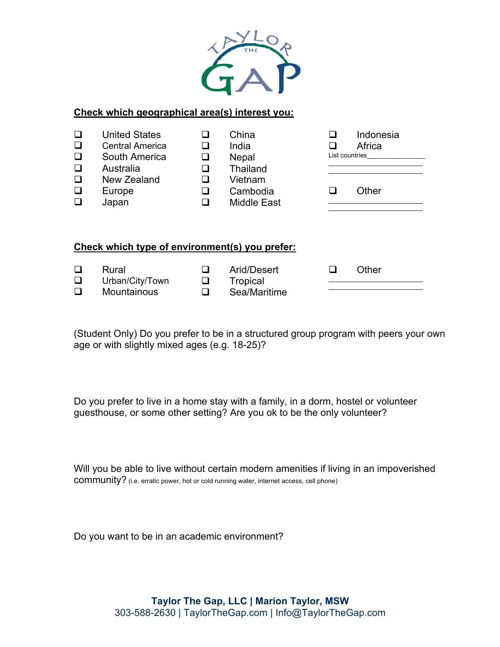

#### **Check which geographical area(s) interest you:**

| ❏      | <b>United States</b>                           | H      | China                                   | Indonesia      |  |
|--------|------------------------------------------------|--------|-----------------------------------------|----------------|--|
| $\Box$ | <b>Central America</b>                         | ⊔      | India                                   | Africa         |  |
| $\Box$ | South America                                  | ❏      | <b>Nepal</b>                            | List countries |  |
| $\Box$ | Australia                                      | ⊔      | Thailand                                |                |  |
| $\Box$ | New Zealand                                    | ⊔      | Vietnam                                 |                |  |
| $\Box$ | Europe                                         | ⊔      | Cambodia                                | Other          |  |
|        | Japan                                          |        | <b>Middle East</b>                      |                |  |
|        | Check which type of environment(s) you prefer: |        |                                         |                |  |
| $\Box$ | Rural<br>Urban/City/Town<br>Mountainous        | ப<br>ப | Arid/Desert<br>Tropical<br>Sea/Maritime | Other          |  |

(Student Only) Do you prefer to be in a structured group program with peers your own age or with slightly mixed ages (e.g. 18-25)?

Do you prefer to live in a home stay with a family, in a dorm, hostel or volunteer guesthouse, or some other setting? Are you ok to be the only volunteer?

Will you be able to live without certain modern amenities if living in an impoverished community? (i.e. erratic power, hot or cold running water, internet access, cell phone)

Do you want to be in an academic environment?